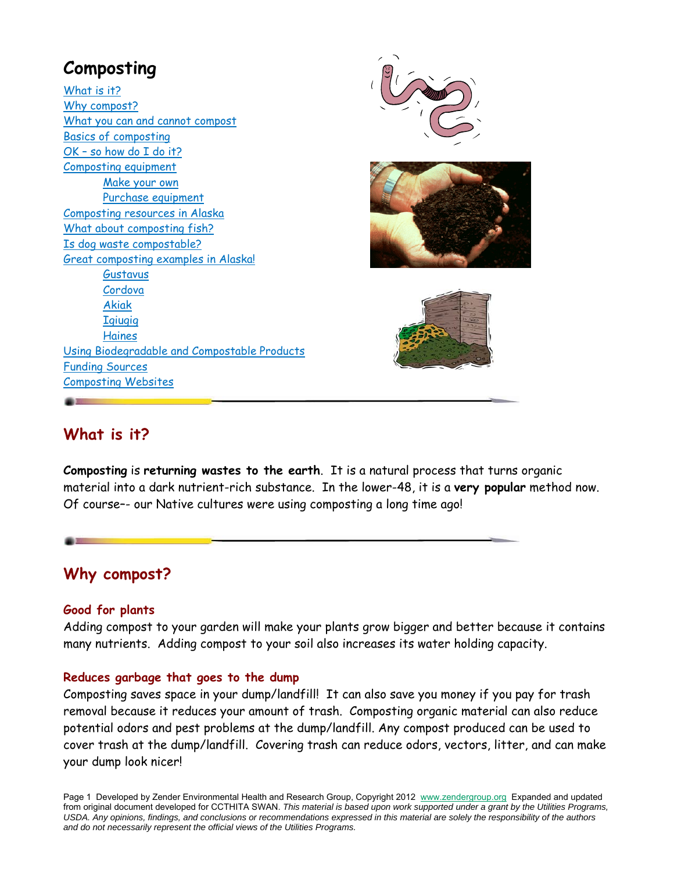

## **What is it?**

**Composting** is **returning wastes to the earth**. It is a natural process that turns organic material into a dark nutrient-rich substance. In the lower-48, it is a **very popular** method now. Of course–- our Native cultures were using composting a long time ago!

## **Why compost?**

#### **Good for plants**

Adding compost to your garden will make your plants grow bigger and better because it contains many nutrients. Adding compost to your soil also increases its water holding capacity.

#### **Reduces garbage that goes to the dump**

Composting saves space in your dump/landfill! It can also save you money if you pay for trash removal because it reduces your amount of trash. Composting organic material can also reduce potential odors and pest problems at the dump/landfill. Any compost produced can be used to cover trash at the dump/landfill. Covering trash can reduce odors, vectors, litter, and can make your dump look nicer!

Page 1 Developed by Zender Environmental Health and Research Group, Copyright 2012 www.zendergroup.org Expanded and updated from original document developed for CCTHITA SWAN. *This material is based upon work supported under a grant by the Utilities Programs, USDA. Any opinions, findings, and conclusions or recommendations expressed in this material are solely the responsibility of the authors and do not necessarily represent the official views of the Utilities Programs.*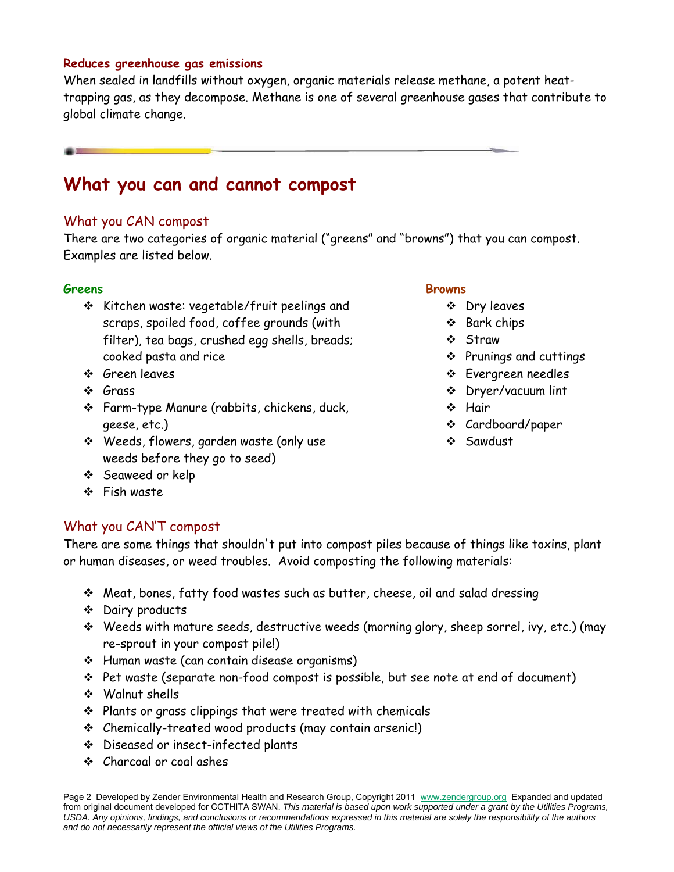#### **Reduces greenhouse gas emissions**

When sealed in landfills without oxygen, organic materials release methane, a potent heattrapping gas, as they decompose. Methane is one of several greenhouse gases that contribute to global climate change.

## **What you can and cannot compost**

### What you CAN compost

There are two categories of organic material ("greens" and "browns") that you can compost. Examples are listed below.

#### **Greens**

- $\div$  Kitchen waste: vegetable/fruit peelings and scraps, spoiled food, coffee grounds (with filter), tea bags, crushed egg shells, breads; cooked pasta and rice
- Green leaves
- Grass
- Farm-type Manure (rabbits, chickens, duck, geese, etc.)
- Weeds, flowers, garden waste (only use weeds before they go to seed)
- Seaweed or kelp
- ❖ Fish waste

## What you CAN'T compost

There are some things that shouldn't put into compost piles because of things like toxins, plant or human diseases, or weed troubles. Avoid composting the following materials:

- Meat, bones, fatty food wastes such as butter, cheese, oil and salad dressing
- Dairy products
- Weeds with mature seeds, destructive weeds (morning glory, sheep sorrel, ivy, etc.) (may re-sprout in your compost pile!)
- ❖ Human waste (can contain disease organisms)
- Pet waste (separate non-food compost is possible, but see note at end of document)
- Walnut shells
- $\div$  Plants or grass clippings that were treated with chemicals
- Chemically-treated wood products (may contain arsenic!)
- Diseased or insect-infected plants
- Charcoal or coal ashes

#### Page 2 Developed by Zender Environmental Health and Research Group, Copyright 2011 www.zendergroup.org Expanded and updated from original document developed for CCTHITA SWAN. *This material is based upon work supported under a grant by the Utilities Programs, USDA. Any opinions, findings, and conclusions or recommendations expressed in this material are solely the responsibility of the authors and do not necessarily represent the official views of the Utilities Programs.*

#### **Browns**

- Dry leaves
- ❖ Bark chips
- Straw
- Prunings and cuttings
- **Evergreen needles**
- Dryer/vacuum lint
- ❖ Hair
- Cardboard/paper
- Sawdust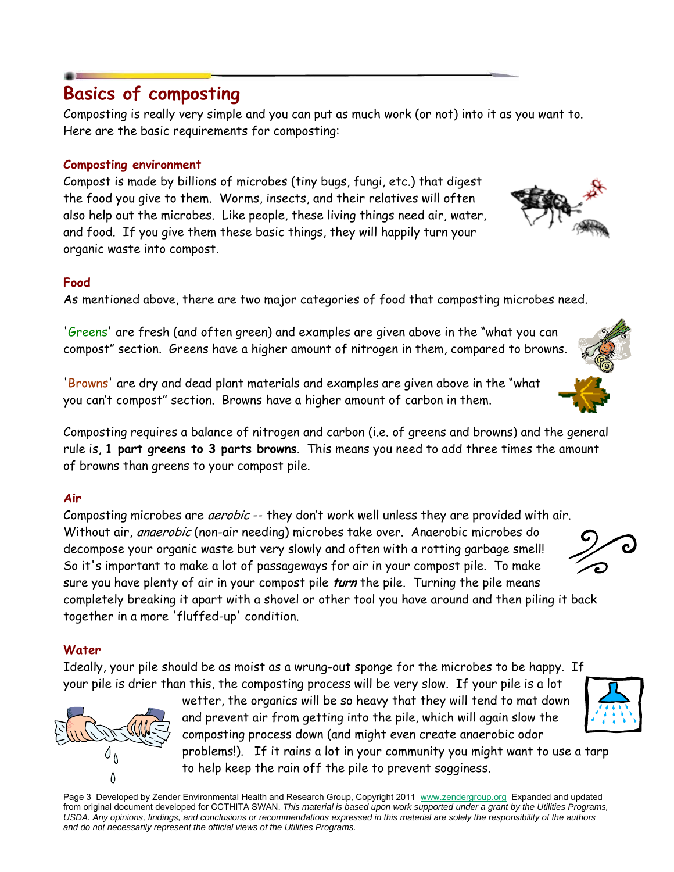## **Basics of composting**

Composting is really very simple and you can put as much work (or not) into it as you want to. Here are the basic requirements for composting:

## **Composting environment**

Compost is made by billions of microbes (tiny bugs, fungi, etc.) that digest the food you give to them. Worms, insects, and their relatives will often also help out the microbes. Like people, these living things need air, water, and food. If you give them these basic things, they will happily turn your organic waste into compost.

### **Food**

As mentioned above, there are two major categories of food that composting microbes need.

'Greens' are fresh (and often green) and examples are given above in the "what you can compost" section. Greens have a higher amount of nitrogen in them, compared to browns.

'Browns' are dry and dead plant materials and examples are given above in the "what you can't compost" section. Browns have a higher amount of carbon in them.

Composting requires a balance of nitrogen and carbon (i.e. of greens and browns) and the general rule is, **1 part greens to 3 parts browns**. This means you need to add three times the amount of browns than greens to your compost pile.

## **Air**

Composting microbes are *aerobic* -- they don't work well unless they are provided with air. Without air, *anaerobic* (non-air needing) microbes take over. Anaerobic microbes do decompose your organic waste but very slowly and often with a rotting garbage smell! So it's important to make a lot of passageways for air in your compost pile. To make sure you have plenty of air in your compost pile **turn** the pile. Turning the pile means completely breaking it apart with a shovel or other tool you have around and then piling it back together in a more 'fluffed-up' condition.

## **Water**

Ideally, your pile should be as moist as a wrung-out sponge for the microbes to be happy. If your pile is drier than this, the composting process will be very slow. If your pile is a lot

> wetter, the organics will be so heavy that they will tend to mat down and prevent air from getting into the pile, which will again slow the composting process down (and might even create anaerobic odor problems!). If it rains a lot in your community you might want to use a tarp to help keep the rain off the pile to prevent sogginess.

Page 3 Developed by Zender Environmental Health and Research Group, Copyright 2011 www.zendergroup.org Expanded and updated from original document developed for CCTHITA SWAN. *This material is based upon work supported under a grant by the Utilities Programs, USDA. Any opinions, findings, and conclusions or recommendations expressed in this material are solely the responsibility of the authors and do not necessarily represent the official views of the Utilities Programs.*







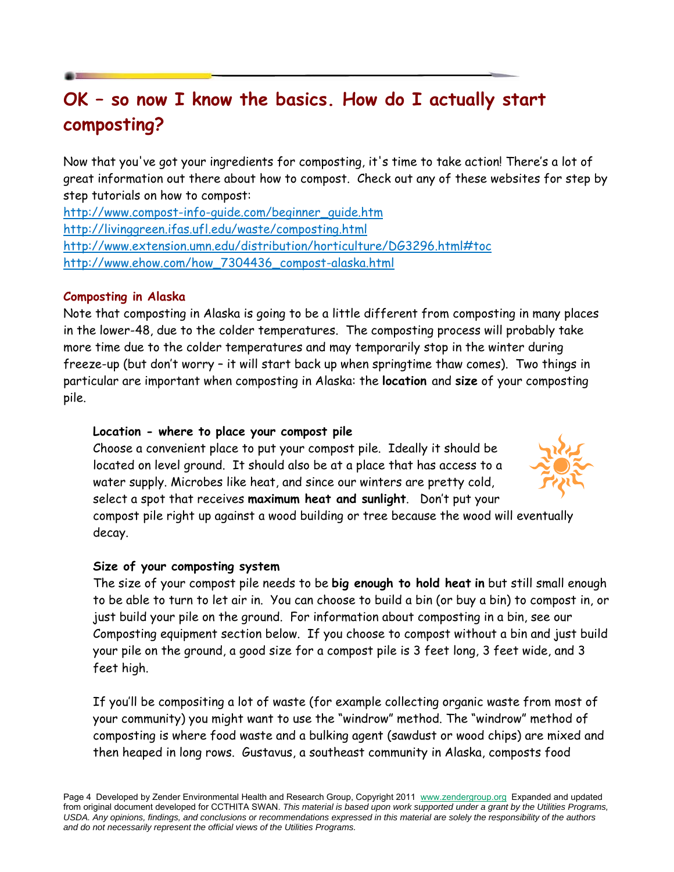# **OK – so now I know the basics. How do I actually start composting?**

Now that you've got your ingredients for composting, it's time to take action! There's a lot of great information out there about how to compost. Check out any of these websites for step by step tutorials on how to compost:

http://www.compost-info-guide.com/beginner\_guide.htm http://livinggreen.ifas.ufl.edu/waste/composting.html http://www.extension.umn.edu/distribution/horticulture/DG3296.html#toc http://www.ehow.com/how\_7304436\_compost-alaska.html

### **Composting in Alaska**

Note that composting in Alaska is going to be a little different from composting in many places in the lower-48, due to the colder temperatures. The composting process will probably take more time due to the colder temperatures and may temporarily stop in the winter during freeze-up (but don't worry – it will start back up when springtime thaw comes). Two things in particular are important when composting in Alaska: the **location** and **size** of your composting pile.

#### **Location - where to place your compost pile**

Choose a convenient place to put your compost pile. Ideally it should be located on level ground. It should also be at a place that has access to a water supply. Microbes like heat, and since our winters are pretty cold, select a spot that receives **maximum heat and sunlight**. Don't put your



compost pile right up against a wood building or tree because the wood will eventually decay.

#### **Size of your composting system**

The size of your compost pile needs to be **big enough to hold heat in** but still small enough to be able to turn to let air in. You can choose to build a bin (or buy a bin) to compost in, or just build your pile on the ground. For information about composting in a bin, see our Composting equipment section below. If you choose to compost without a bin and just build your pile on the ground, a good size for a compost pile is 3 feet long, 3 feet wide, and 3 feet high.

If you'll be compositing a lot of waste (for example collecting organic waste from most of your community) you might want to use the "windrow" method. The "windrow" method of composting is where food waste and a bulking agent (sawdust or wood chips) are mixed and then heaped in long rows. Gustavus, a southeast community in Alaska, composts food

Page 4 Developed by Zender Environmental Health and Research Group, Copyright 2011 www.zendergroup.org Expanded and updated from original document developed for CCTHITA SWAN. *This material is based upon work supported under a grant by the Utilities Programs, USDA. Any opinions, findings, and conclusions or recommendations expressed in this material are solely the responsibility of the authors and do not necessarily represent the official views of the Utilities Programs.*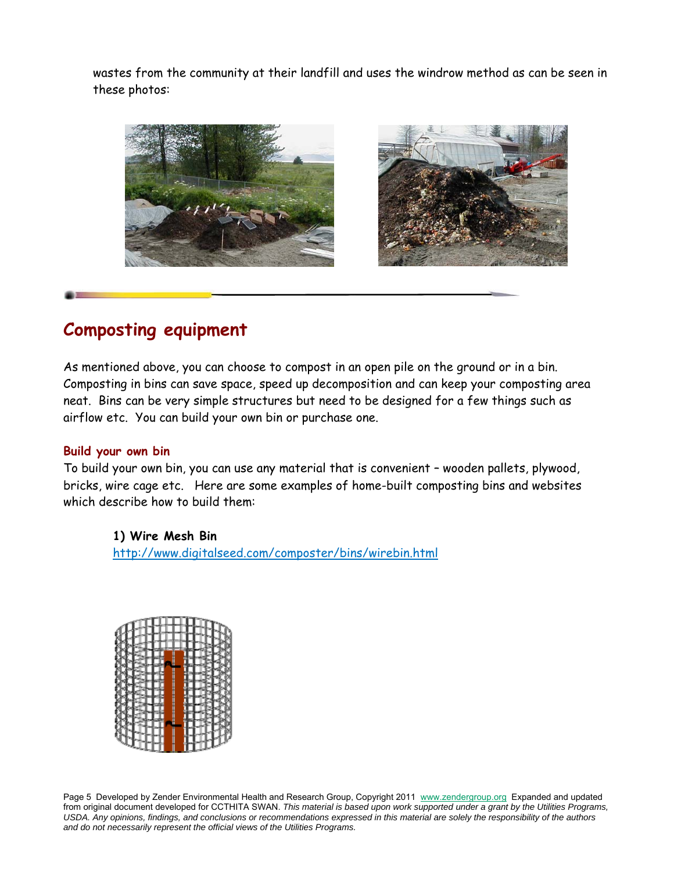wastes from the community at their landfill and uses the windrow method as can be seen in these photos:



# **Composting equipment**

As mentioned above, you can choose to compost in an open pile on the ground or in a bin. Composting in bins can save space, speed up decomposition and can keep your composting area neat. Bins can be very simple structures but need to be designed for a few things such as airflow etc. You can build your own bin or purchase one.

### **Build your own bin**

To build your own bin, you can use any material that is convenient – wooden pallets, plywood, bricks, wire cage etc. Here are some examples of home-built composting bins and websites which describe how to build them:

### **1) Wire Mesh Bin**

http://www.digitalseed.com/composter/bins/wirebin.html



Page 5 Developed by Zender Environmental Health and Research Group, Copyright 2011 www.zendergroup.org Expanded and updated from original document developed for CCTHITA SWAN. *This material is based upon work supported under a grant by the Utilities Programs, USDA. Any opinions, findings, and conclusions or recommendations expressed in this material are solely the responsibility of the authors and do not necessarily represent the official views of the Utilities Programs.*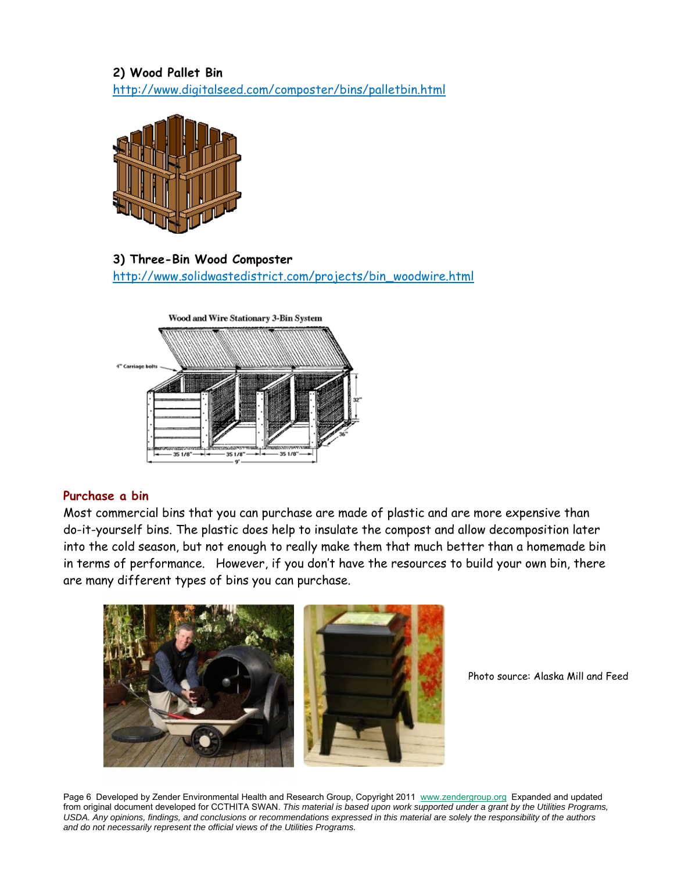## **2) Wood Pallet Bin**  http://www.digitalseed.com/composter/bins/palletbin.html



**3) Three-Bin Wood Composter**  http://www.solidwastedistrict.com/projects/bin\_woodwire.html



#### **Purchase a bin**

Most commercial bins that you can purchase are made of plastic and are more expensive than do-it-yourself bins. The plastic does help to insulate the compost and allow decomposition later into the cold season, but not enough to really make them that much better than a homemade bin in terms of performance. However, if you don't have the resources to build your own bin, there are many different types of bins you can purchase.



Photo source: Alaska Mill and Feed

Page 6 Developed by Zender Environmental Health and Research Group, Copyright 2011 www.zendergroup.org Expanded and updated from original document developed for CCTHITA SWAN. *This material is based upon work supported under a grant by the Utilities Programs, USDA. Any opinions, findings, and conclusions or recommendations expressed in this material are solely the responsibility of the authors and do not necessarily represent the official views of the Utilities Programs.*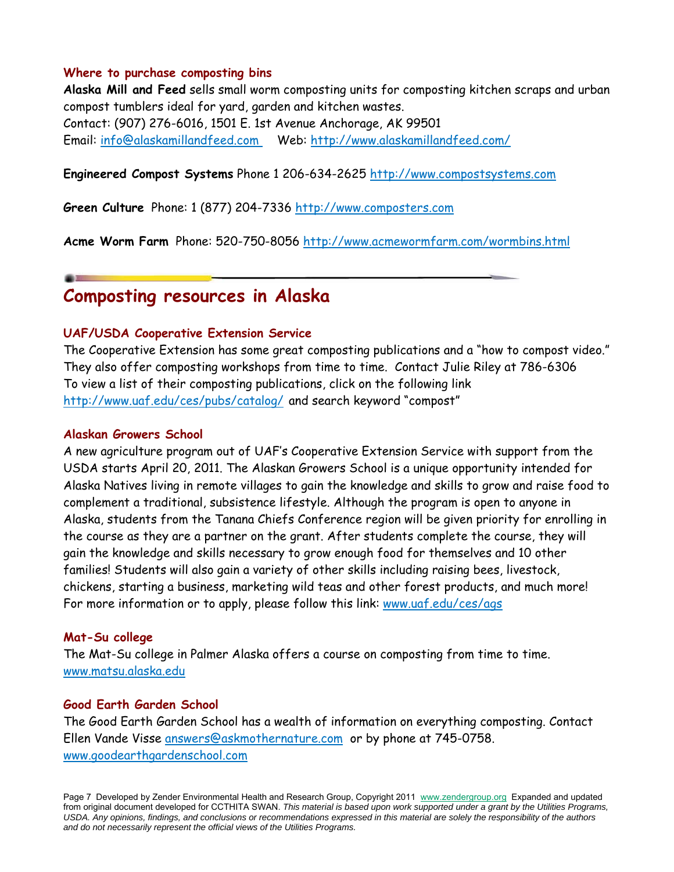#### **Where to purchase composting bins**

**Alaska Mill and Feed** sells small worm composting units for composting kitchen scraps and urban compost tumblers ideal for yard, garden and kitchen wastes. Contact: (907) 276-6016, 1501 E. 1st Avenue Anchorage, AK 99501 Email: info@alaskamillandfeed.com Web: http://www.alaskamillandfeed.com/

#### **Engineered Compost Systems** Phone 1 206-634-2625 http://www.compostsystems.com

**Green Culture** Phone: 1 (877) 204-7336 http://www.composters.com

**Acme Worm Farm** Phone: 520-750-8056 http://www.acmewormfarm.com/wormbins.html

## **Composting resources in Alaska**

#### **UAF/USDA Cooperative Extension Service**

The Cooperative Extension has some great composting publications and a "how to compost video." They also offer composting workshops from time to time. Contact Julie Riley at 786-6306 To view a list of their composting publications, click on the following link http://www.uaf.edu/ces/pubs/catalog/ and search keyword "compost"

#### **Alaskan Growers School**

A new agriculture program out of UAF's Cooperative Extension Service with support from the USDA starts April 20, 2011. The Alaskan Growers School is a unique opportunity intended for Alaska Natives living in remote villages to gain the knowledge and skills to grow and raise food to complement a traditional, subsistence lifestyle. Although the program is open to anyone in Alaska, students from the Tanana Chiefs Conference region will be given priority for enrolling in the course as they are a partner on the grant. After students complete the course, they will gain the knowledge and skills necessary to grow enough food for themselves and 10 other families! Students will also gain a variety of other skills including raising bees, livestock, chickens, starting a business, marketing wild teas and other forest products, and much more! For more information or to apply, please follow this link: www.uaf.edu/ces/ags

#### **Mat-Su college**

The Mat-Su college in Palmer Alaska offers a course on composting from time to time. www.matsu.alaska.edu

#### **Good Earth Garden School**

The Good Earth Garden School has a wealth of information on everything composting. Contact Ellen Vande Visse answers@askmothernature.com or by phone at 745-0758. www.goodearthgardenschool.com

Page 7 Developed by Zender Environmental Health and Research Group, Copyright 2011 www.zendergroup.org Expanded and updated from original document developed for CCTHITA SWAN. *This material is based upon work supported under a grant by the Utilities Programs, USDA. Any opinions, findings, and conclusions or recommendations expressed in this material are solely the responsibility of the authors and do not necessarily represent the official views of the Utilities Programs.*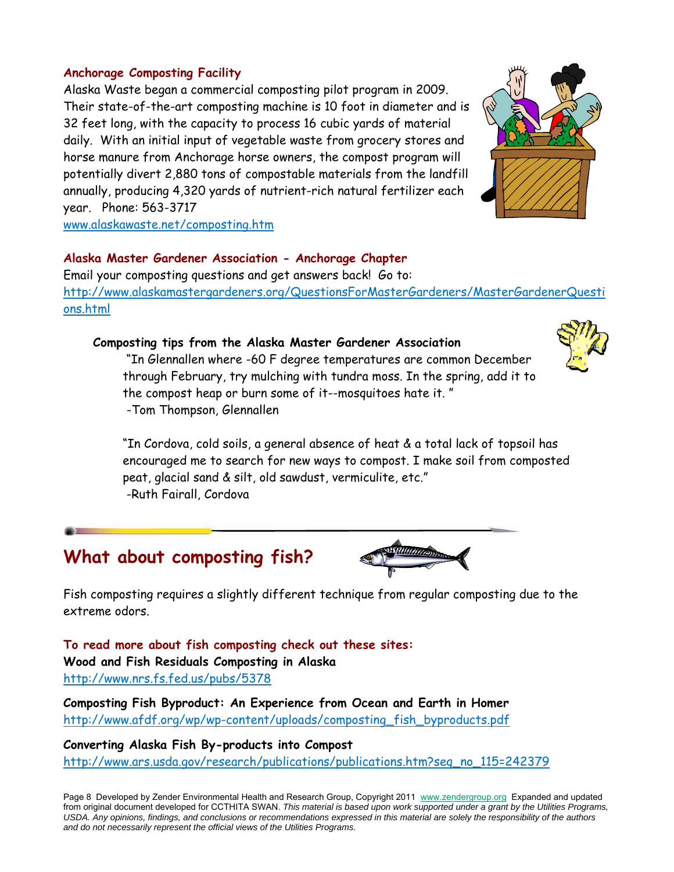### **Anchorage Composting Facility**

Alaska Waste began a commercial composting pilot program in 2009. Their state-of-the-art composting machine is 10 foot in diameter and is 32 feet long, with the capacity to process 16 cubic yards of material daily. With an initial input of vegetable waste from grocery stores and horse manure from Anchorage horse owners, the compost program will potentially divert 2,880 tons of compostable materials from the landfill annually, producing 4,320 yards of nutrient-rich natural fertilizer each year. Phone: 563-3717



www.alaskawaste.net/composting.htm

### **Alaska Master Gardener Association - Anchorage Chapter**

Email your composting questions and get answers back! Go to: http://www.alaskamastergardeners.org/QuestionsForMasterGardeners/MasterGardenerQuesti ons.html

#### **Composting tips from the Alaska Master Gardener Association**

 "In Glennallen where -60 F degree temperatures are common December through February, try mulching with tundra moss. In the spring, add it to the compost heap or burn some of it--mosquitoes hate it. " -Tom Thompson, Glennallen



"In Cordova, cold soils, a general absence of heat & a total lack of topsoil has encouraged me to search for new ways to compost. I make soil from composted peat, glacial sand & silt, old sawdust, vermiculite, etc." -Ruth Fairall, Cordova

## **What about composting fish?**



Fish composting requires a slightly different technique from regular composting due to the extreme odors.

**To read more about fish composting check out these sites: Wood and Fish Residuals Composting in Alaska**  http://www.nrs.fs.fed.us/pubs/5378

**Composting Fish Byproduct: An Experience from Ocean and Earth in Homer**  http://www.afdf.org/wp/wp-content/uploads/composting\_fish\_byproducts.pdf

**Converting Alaska Fish By-products into Compost**  http://www.ars.usda.gov/research/publications/publications.htm?seq\_no\_115=242379

Page 8 Developed by Zender Environmental Health and Research Group, Copyright 2011 www.zendergroup.org Expanded and updated from original document developed for CCTHITA SWAN. *This material is based upon work supported under a grant by the Utilities Programs, USDA. Any opinions, findings, and conclusions or recommendations expressed in this material are solely the responsibility of the authors and do not necessarily represent the official views of the Utilities Programs.*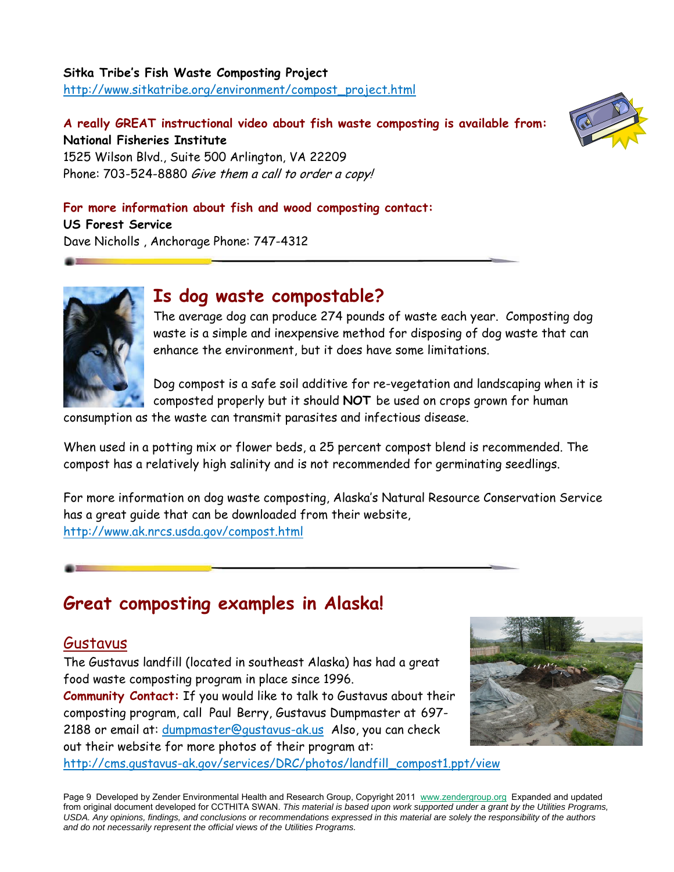### **Sitka Tribe's Fish Waste Composting Project**  http://www.sitkatribe.org/environment/compost\_project.html

## **A really GREAT instructional video about fish waste composting is available from: National Fisheries Institute**



1525 Wilson Blvd., Suite 500 Arlington, VA 22209 Phone: 703-524-8880 Give them a call to order a copy!

### **For more information about fish and wood composting contact:**

**US Forest Service**  Dave Nicholls , Anchorage Phone: 747-4312



## **Is dog waste compostable?**

The average dog can produce 274 pounds of waste each year. Composting dog waste is a simple and inexpensive method for disposing of dog waste that can enhance the environment, but it does have some limitations.

Dog compost is a safe soil additive for re-vegetation and landscaping when it is composted properly but it should **NOT** be used on crops grown for human

consumption as the waste can transmit parasites and infectious disease.

When used in a potting mix or flower beds, a 25 percent compost blend is recommended. The compost has a relatively high salinity and is not recommended for germinating seedlings.

For more information on dog waste composting, Alaska's Natural Resource Conservation Service has a great guide that can be downloaded from their website, http://www.ak.nrcs.usda.gov/compost.html

# **Great composting examples in Alaska!**

## Gustavus

The Gustavus landfill (located in southeast Alaska) has had a great food waste composting program in place since 1996.

**Community Contact:** If you would like to talk to Gustavus about their composting program, call Paul Berry, Gustavus Dumpmaster at 697- 2188 or email at: dumpmaster@gustavus-ak.us Also, you can check out their website for more photos of their program at: http://cms.gustavus-ak.gov/services/DRC/photos/landfill\_compost1.ppt/view



Page 9 Developed by Zender Environmental Health and Research Group, Copyright 2011 www.zendergroup.org Expanded and updated from original document developed for CCTHITA SWAN. *This material is based upon work supported under a grant by the Utilities Programs, USDA. Any opinions, findings, and conclusions or recommendations expressed in this material are solely the responsibility of the authors and do not necessarily represent the official views of the Utilities Programs.*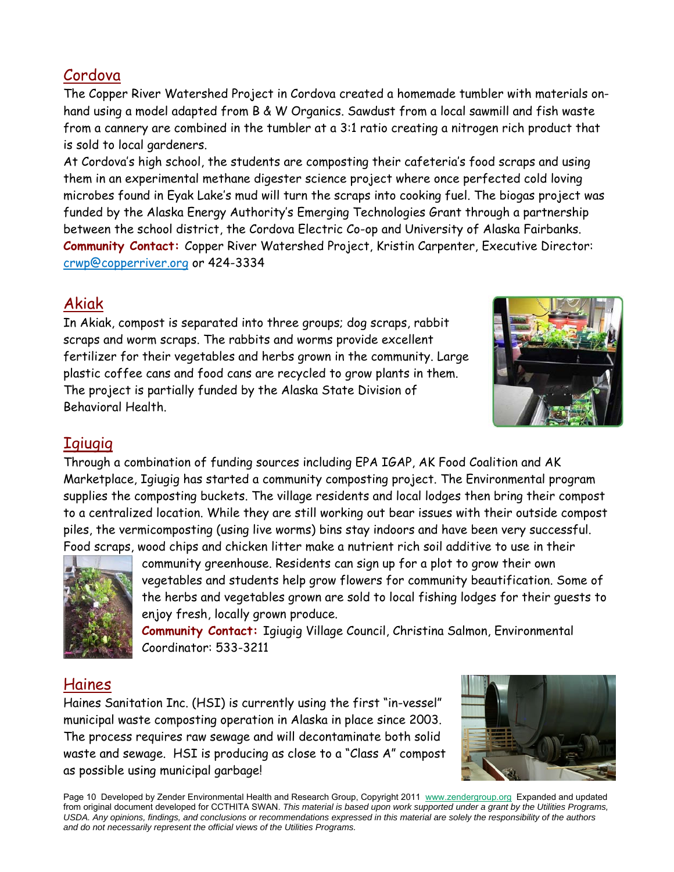## Cordova

The Copper River Watershed Project in Cordova created a homemade tumbler with materials onhand using a model adapted from B & W Organics. Sawdust from a local sawmill and fish waste from a cannery are combined in the tumbler at a 3:1 ratio creating a nitrogen rich product that is sold to local gardeners.

At Cordova's high school, the students are composting their cafeteria's food scraps and using them in an experimental methane digester science project where once perfected cold loving microbes found in Eyak Lake's mud will turn the scraps into cooking fuel. The biogas project was funded by the Alaska Energy Authority's Emerging Technologies Grant through a partnership between the school district, the Cordova Electric Co-op and University of Alaska Fairbanks. **Community Contact:** Copper River Watershed Project, Kristin Carpenter, Executive Director: crwp@copperriver.org or 424-3334

## Akiak

In Akiak, compost is separated into three groups; dog scraps, rabbit scraps and worm scraps. The rabbits and worms provide excellent fertilizer for their vegetables and herbs grown in the community. Large plastic coffee cans and food cans are recycled to grow plants in them. The project is partially funded by the Alaska State Division of Behavioral Health.



## **Igiugig**

Through a combination of funding sources including EPA IGAP, AK Food Coalition and AK Marketplace, Igiugig has started a community composting project. The Environmental program supplies the composting buckets. The village residents and local lodges then bring their compost to a centralized location. While they are still working out bear issues with their outside compost piles, the vermicomposting (using live worms) bins stay indoors and have been very successful. Food scraps, wood chips and chicken litter make a nutrient rich soil additive to use in their



community greenhouse. Residents can sign up for a plot to grow their own vegetables and students help grow flowers for community beautification. Some of the herbs and vegetables grown are sold to local fishing lodges for their guests to enjoy fresh, locally grown produce.

**Community Contact:** Igiugig Village Council, Christina Salmon, Environmental Coordinator: 533-3211

## Haines

Haines Sanitation Inc. (HSI) is currently using the first "in-vessel" municipal waste composting operation in Alaska in place since 2003. The process requires raw sewage and will decontaminate both solid waste and sewage. HSI is producing as close to a "Class A" compost as possible using municipal garbage!



Page 10 Developed by Zender Environmental Health and Research Group, Copyright 2011 www.zendergroup.org Expanded and updated from original document developed for CCTHITA SWAN. *This material is based upon work supported under a grant by the Utilities Programs, USDA. Any opinions, findings, and conclusions or recommendations expressed in this material are solely the responsibility of the authors and do not necessarily represent the official views of the Utilities Programs.*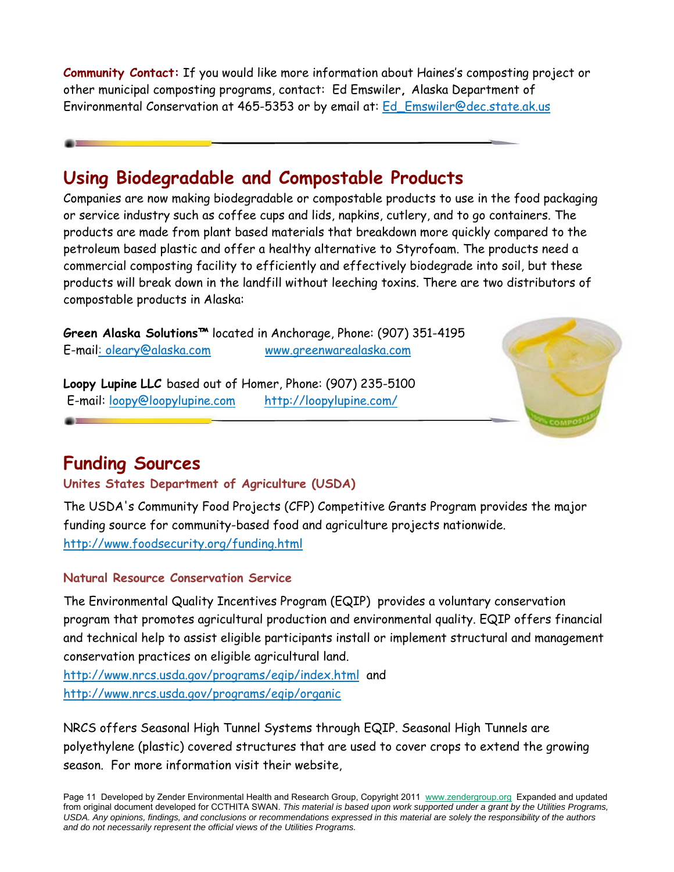**Community Contact:** If you would like more information about Haines's composting project or other municipal composting programs, contact: Ed Emswiler**,** Alaska Department of Environmental Conservation at 465-5353 or by email at: Ed\_Emswiler@dec.state.ak.us

# **Using Biodegradable and Compostable Products**

Companies are now making biodegradable or compostable products to use in the food packaging or service industry such as coffee cups and lids, napkins, cutlery, and to go containers. The products are made from plant based materials that breakdown more quickly compared to the petroleum based plastic and offer a healthy alternative to Styrofoam. The products need a commercial composting facility to efficiently and effectively biodegrade into soil, but these products will break down in the landfill without leeching toxins. There are two distributors of compostable products in Alaska:

**Green Alaska Solutions™** located in Anchorage, Phone: (907) 351-4195 E-mail: oleary@alaska.com www.greenwarealaska.com

**Loopy Lupine LLC** based out of Homer, Phone: (907) 235-5100 E-mail: loopy@loopylupine.com http://loopylupine.com/



# **Funding Sources**

## **Unites States Department of Agriculture (USDA)**

The USDA's Community Food Projects (CFP) Competitive Grants Program provides the major funding source for community-based food and agriculture projects nationwide. http://www.foodsecurity.org/funding.html

## **Natural Resource Conservation Service**

The Environmental Quality Incentives Program (EQIP) provides a voluntary conservation program that promotes agricultural production and environmental quality. EQIP offers financial and technical help to assist eligible participants install or implement structural and management conservation practices on eligible agricultural land.

http://www.nrcs.usda.gov/programs/eqip/index.html and http://www.nrcs.usda.gov/programs/eqip/organic

NRCS offers Seasonal High Tunnel Systems through EQIP. Seasonal High Tunnels are polyethylene (plastic) covered structures that are used to cover crops to extend the growing season. For more information visit their website,

Page 11 Developed by Zender Environmental Health and Research Group, Copyright 2011 www.zendergroup.org Expanded and updated from original document developed for CCTHITA SWAN. *This material is based upon work supported under a grant by the Utilities Programs, USDA. Any opinions, findings, and conclusions or recommendations expressed in this material are solely the responsibility of the authors and do not necessarily represent the official views of the Utilities Programs.*